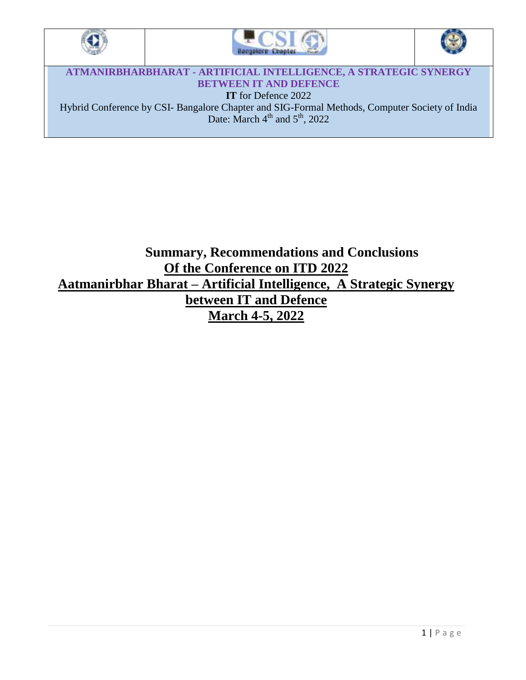





**ATMANIRBHARBHARAT - ARTIFICIAL INTELLIGENCE, A STRATEGIC SYNERGY BETWEEN IT AND DEFENCE IT** for Defence 2022 Hybrid Conference by CSI- Bangalore Chapter and SIG-Formal Methods, Computer Society of India Date: March  $4<sup>th</sup>$  and  $5<sup>th</sup>$ , 2022

## **Summary, Recommendations and Conclusions Of the Conference on ITD 2022 Aatmanirbhar Bharat – Artificial Intelligence, A Strategic Synergy between IT and Defence March 4-5, 2022**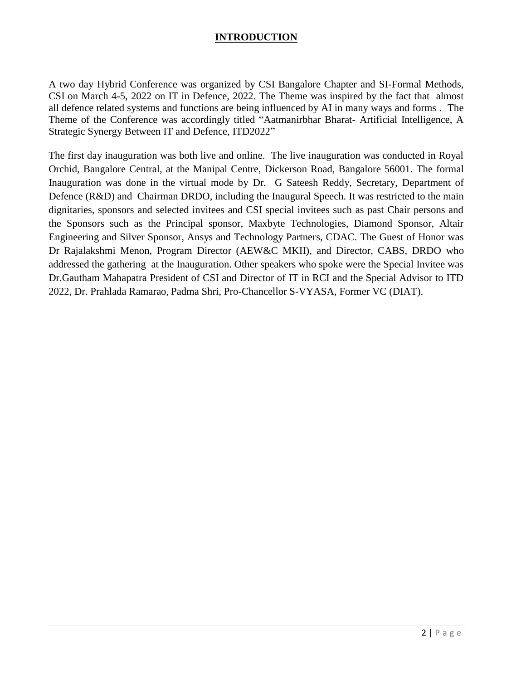## **INTRODUCTION**

A two day Hybrid Conference was organized by CSI Bangalore Chapter and SI-Formal Methods, CSI on March 4-5, 2022 on IT in Defence, 2022. The Theme was inspired by the fact that almost all defence related systems and functions are being influenced by AI in many ways and forms . The Theme of the Conference was accordingly titled "Aatmanirbhar Bharat- Artificial Intelligence, A Strategic Synergy Between IT and Defence, ITD2022"

The first day inauguration was both live and online. The live inauguration was conducted in Royal Orchid, Bangalore Central, at the Manipal Centre, Dickerson Road, Bangalore 56001. The formal Inauguration was done in the virtual mode by Dr. G Sateesh Reddy, Secretary, Department of Defence (R&D) and Chairman DRDO, including the Inaugural Speech. It was restricted to the main dignitaries, sponsors and selected invitees and CSI special invitees such as past Chair persons and the Sponsors such as the Principal sponsor, Maxbyte Technologies, Diamond Sponsor, Altair Engineering and Silver Sponsor, Ansys and Technology Partners, CDAC. The Guest of Honor was Dr Rajalakshmi Menon, Program Director (AEW&C MKII), and Director, CABS, DRDO who addressed the gathering at the Inauguration. Other speakers who spoke were the Special Invitee was Dr.Gautham Mahapatra President of CSI and Director of IT in RCI and the Special Advisor to ITD 2022, Dr. Prahlada Ramarao, Padma Shri, Pro-Chancellor S-VYASA, Former VC (DIAT).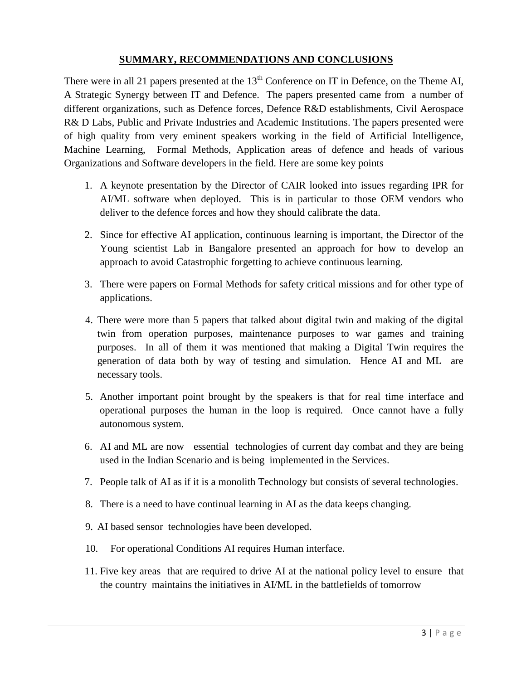## **SUMMARY, RECOMMENDATIONS AND CONCLUSIONS**

There were in all 21 papers presented at the  $13<sup>th</sup>$  Conference on IT in Defence, on the Theme AI, A Strategic Synergy between IT and Defence. The papers presented came from a number of different organizations, such as Defence forces, Defence R&D establishments, Civil Aerospace R& D Labs, Public and Private Industries and Academic Institutions. The papers presented were of high quality from very eminent speakers working in the field of Artificial Intelligence, Machine Learning, Formal Methods, Application areas of defence and heads of various Organizations and Software developers in the field. Here are some key points

- 1. A keynote presentation by the Director of CAIR looked into issues regarding IPR for AI/ML software when deployed. This is in particular to those OEM vendors who deliver to the defence forces and how they should calibrate the data.
- 2. Since for effective AI application, continuous learning is important, the Director of the Young scientist Lab in Bangalore presented an approach for how to develop an approach to avoid Catastrophic forgetting to achieve continuous learning.
- 3. There were papers on Formal Methods for safety critical missions and for other type of applications.
- 4. There were more than 5 papers that talked about digital twin and making of the digital twin from operation purposes, maintenance purposes to war games and training purposes. In all of them it was mentioned that making a Digital Twin requires the generation of data both by way of testing and simulation. Hence AI and ML are necessary tools.
- 5. Another important point brought by the speakers is that for real time interface and operational purposes the human in the loop is required. Once cannot have a fully autonomous system.
- 6. AI and ML are now essential technologies of current day combat and they are being used in the Indian Scenario and is being implemented in the Services.
- 7. People talk of AI as if it is a monolith Technology but consists of several technologies.
- 8. There is a need to have continual learning in AI as the data keeps changing.
- 9. AI based sensor technologies have been developed.
- 10. For operational Conditions AI requires Human interface.
- 11. Five key areas that are required to drive AI at the national policy level to ensure that the country maintains the initiatives in AI/ML in the battlefields of tomorrow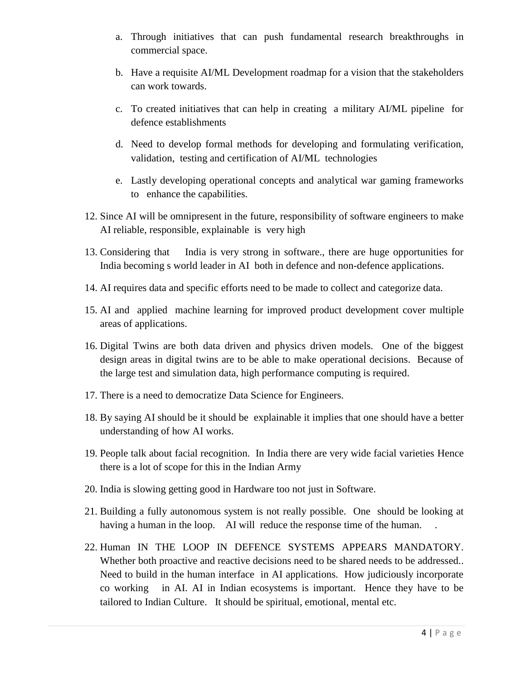- a. Through initiatives that can push fundamental research breakthroughs in commercial space.
- b. Have a requisite AI/ML Development roadmap for a vision that the stakeholders can work towards.
- c. To created initiatives that can help in creating a military AI/ML pipeline for defence establishments
- d. Need to develop formal methods for developing and formulating verification, validation, testing and certification of AI/ML technologies
- e. Lastly developing operational concepts and analytical war gaming frameworks to enhance the capabilities.
- 12. Since AI will be omnipresent in the future, responsibility of software engineers to make AI reliable, responsible, explainable is very high
- 13. Considering that India is very strong in software., there are huge opportunities for India becoming s world leader in AI both in defence and non-defence applications.
- 14. AI requires data and specific efforts need to be made to collect and categorize data.
- 15. AI and applied machine learning for improved product development cover multiple areas of applications.
- 16. Digital Twins are both data driven and physics driven models. One of the biggest design areas in digital twins are to be able to make operational decisions. Because of the large test and simulation data, high performance computing is required.
- 17. There is a need to democratize Data Science for Engineers.
- 18. By saying AI should be it should be explainable it implies that one should have a better understanding of how AI works.
- 19. People talk about facial recognition. In India there are very wide facial varieties Hence there is a lot of scope for this in the Indian Army
- 20. India is slowing getting good in Hardware too not just in Software.
- 21. Building a fully autonomous system is not really possible. One should be looking at having a human in the loop. AI will reduce the response time of the human.
- 22. Human IN THE LOOP IN DEFENCE SYSTEMS APPEARS MANDATORY. Whether both proactive and reactive decisions need to be shared needs to be addressed.. Need to build in the human interface in AI applications. How judiciously incorporate co working in AI. AI in Indian ecosystems is important. Hence they have to be tailored to Indian Culture. It should be spiritual, emotional, mental etc.